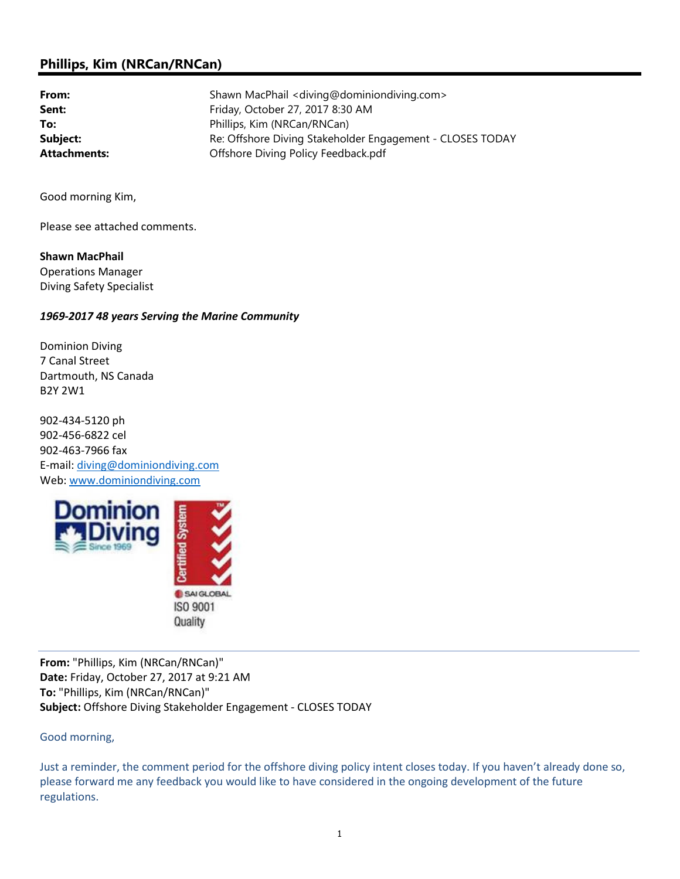## Phillips, Kim (NRCan/RNCan)

From: Shawn MacPhail <diving@dominiondiving.com> Sent: Friday, October 27, 2017 8:30 AM To: Phillips, Kim (NRCan/RNCan) Subject: Re: Offshore Diving Stakeholder Engagement - CLOSES TODAY Attachments: **Attachments:** Offshore Diving Policy Feedback.pdf

Good morning Kim,

Please see attached comments.

Shawn MacPhail Operations Manager Diving Safety Specialist

## 1969-2017 48 years Serving the Marine Community

Dominion Diving 7 Canal Street Dartmouth, NS Canada B2Y 2W1

902-434-5120 ph 902-456-6822 cel 902-463-7966 fax E-mail: diving@dominiondiving.com Web: www.dominiondiving.com



From: "Phillips, Kim (NRCan/RNCan)" Date: Friday, October 27, 2017 at 9:21 AM To: "Phillips, Kim (NRCan/RNCan)" Subject: Offshore Diving Stakeholder Engagement - CLOSES TODAY

Good morning,

Just a reminder, the comment period for the offshore diving policy intent closes today. If you haven't already done so, please forward me any feedback you would like to have considered in the ongoing development of the future regulations.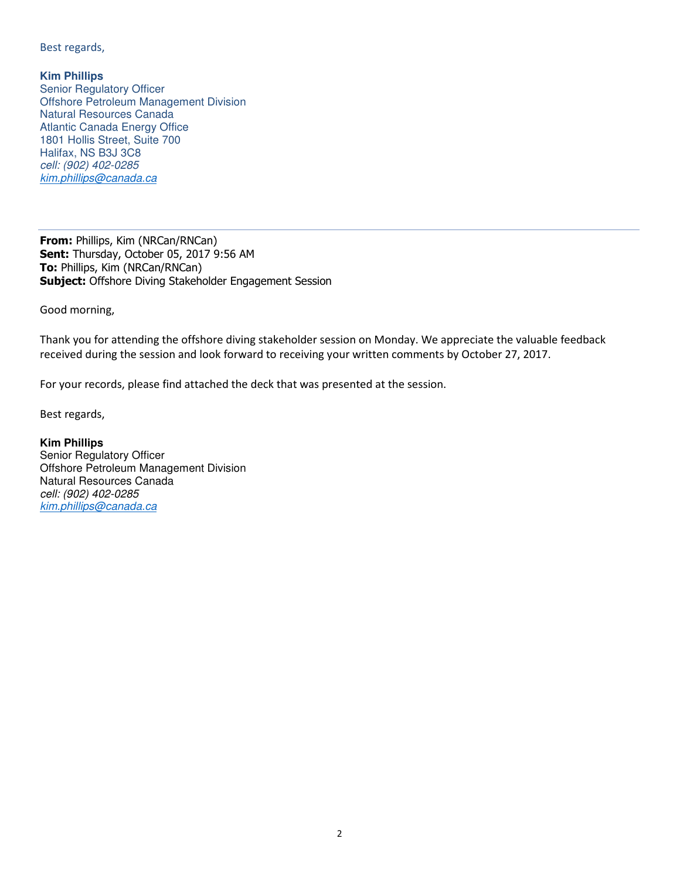Best regards,

**Kim Phillips** Senior Regulatory Officer Offshore Petroleum Management Division Natural Resources Canada Atlantic Canada Energy Office 1801 Hollis Street, Suite 700 Halifax, NS B3J 3C8 cell: (902) 402-0285 kim.phillips@canada.ca

From: Phillips, Kim (NRCan/RNCan) Sent: Thursday, October 05, 2017 9:56 AM To: Phillips, Kim (NRCan/RNCan) Subject: Offshore Diving Stakeholder Engagement Session

Good morning,

Thank you for attending the offshore diving stakeholder session on Monday. We appreciate the valuable feedback received during the session and look forward to receiving your written comments by October 27, 2017.

For your records, please find attached the deck that was presented at the session.

Best regards,

**Kim Phillips**  Senior Regulatory Officer Offshore Petroleum Management Division Natural Resources Canada cell: (902) 402-0285 kim.phillips@canada.ca